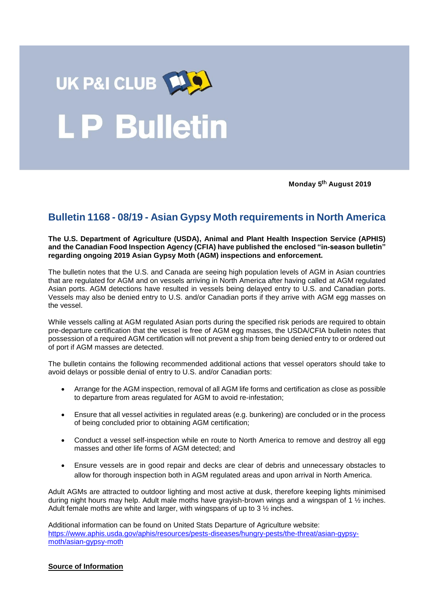

**Monday 5 August 2019**

## **Bulletin 1168 - 08/19 - Asian Gypsy Moth requirements in North America**

**The U.S. Department of Agriculture (USDA), Animal and Plant Health Inspection Service (APHIS) and the Canadian Food Inspection Agency (CFIA) have published the enclosed "in-season bulletin" regarding ongoing 2019 Asian Gypsy Moth (AGM) inspections and enforcement.** 

The bulletin notes that the U.S. and Canada are seeing high population levels of AGM in Asian countries that are regulated for AGM and on vessels arriving in North America after having called at AGM regulated Asian ports. AGM detections have resulted in vessels being delayed entry to U.S. and Canadian ports. Vessels may also be denied entry to U.S. and/or Canadian ports if they arrive with AGM egg masses on the vessel.

While vessels calling at AGM regulated Asian ports during the specified risk periods are required to obtain pre-departure certification that the vessel is free of AGM egg masses, the USDA/CFIA bulletin notes that possession of a required AGM certification will not prevent a ship from being denied entry to or ordered out of port if AGM masses are detected.

The bulletin contains the following recommended additional actions that vessel operators should take to avoid delays or possible denial of entry to U.S. and/or Canadian ports:

- Arrange for the AGM inspection, removal of all AGM life forms and certification as close as possible to departure from areas regulated for AGM to avoid re-infestation;
- Ensure that all vessel activities in regulated areas (e.g. bunkering) are concluded or in the process of being concluded prior to obtaining AGM certification;
- Conduct a vessel self-inspection while en route to North America to remove and destroy all egg masses and other life forms of AGM detected; and
- Ensure vessels are in good repair and decks are clear of debris and unnecessary obstacles to allow for thorough inspection both in AGM regulated areas and upon arrival in North America.

Adult AGMs are attracted to outdoor lighting and most active at dusk, therefore keeping lights minimised during night hours may help. Adult male moths have grayish-brown wings and a wingspan of 1 ½ inches. Adult female moths are white and larger, with wingspans of up to  $3\frac{1}{2}$  inches.

Additional information can be found on United Stats Departure of Agriculture website: [https://www.aphis.usda.gov/aphis/resources/pests-diseases/hungry-pests/the-threat/asian-gypsy](https://www.aphis.usda.gov/aphis/resources/pests-diseases/hungry-pests/the-threat/asian-gypsy-moth/asian-gypsy-moth)[moth/asian-gypsy-moth](https://www.aphis.usda.gov/aphis/resources/pests-diseases/hungry-pests/the-threat/asian-gypsy-moth/asian-gypsy-moth)

## **Source of Information**